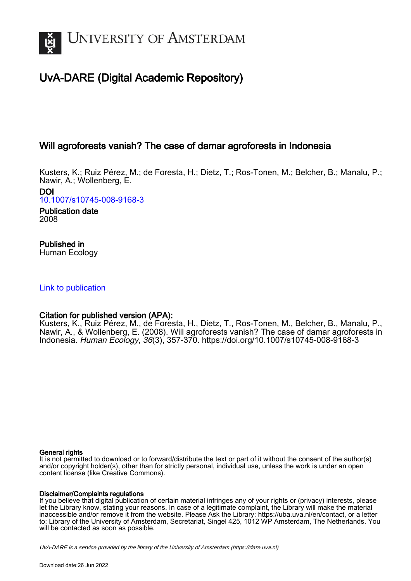

# UvA-DARE (Digital Academic Repository)

## Will agroforests vanish? The case of damar agroforests in Indonesia

Kusters, K.; Ruiz Pérez, M.; de Foresta, H.; Dietz, T.; Ros-Tonen, M.; Belcher, B.; Manalu, P.; Nawir, A.; Wollenberg, E.

DOI [10.1007/s10745-008-9168-3](https://doi.org/10.1007/s10745-008-9168-3)

Publication date 2008

Published in Human Ecology

[Link to publication](https://dare.uva.nl/personal/pure/en/publications/will-agroforests-vanish-the-case-of-damar-agroforests-in-indonesia(c5d1dcc5-a049-4037-9d21-4b1c5231658a).html)

## Citation for published version (APA):

Kusters, K., Ruiz Pérez, M., de Foresta, H., Dietz, T., Ros-Tonen, M., Belcher, B., Manalu, P., Nawir, A., & Wollenberg, E. (2008). Will agroforests vanish? The case of damar agroforests in Indonesia. Human Ecology, 36(3), 357-370.<https://doi.org/10.1007/s10745-008-9168-3>

## General rights

It is not permitted to download or to forward/distribute the text or part of it without the consent of the author(s) and/or copyright holder(s), other than for strictly personal, individual use, unless the work is under an open content license (like Creative Commons).

## Disclaimer/Complaints regulations

If you believe that digital publication of certain material infringes any of your rights or (privacy) interests, please let the Library know, stating your reasons. In case of a legitimate complaint, the Library will make the material inaccessible and/or remove it from the website. Please Ask the Library: https://uba.uva.nl/en/contact, or a letter to: Library of the University of Amsterdam, Secretariat, Singel 425, 1012 WP Amsterdam, The Netherlands. You will be contacted as soon as possible.

UvA-DARE is a service provided by the library of the University of Amsterdam (http*s*://dare.uva.nl)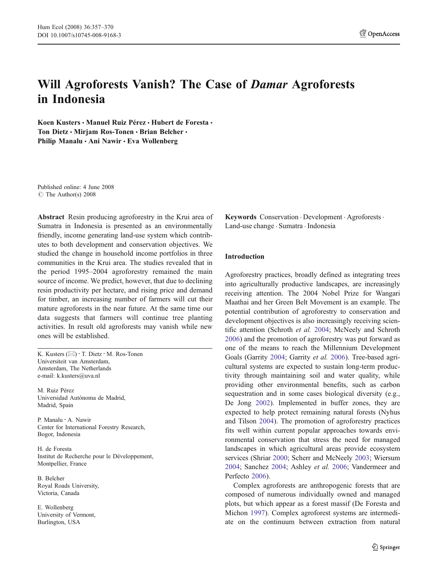## Will Agroforests Vanish? The Case of Damar Agroforests in Indonesia

Koen Kusters • Manuel Ruiz Pérez • Hubert de Foresta • Ton Dietz • Miriam Ros-Tonen • Brian Belcher • Philip Manalu · Ani Nawir · Eva Wollenberg

Published online: 4 June 2008  $\circ$  The Author(s) 2008

Abstract Resin producing agroforestry in the Krui area of Sumatra in Indonesia is presented as an environmentally friendly, income generating land-use system which contributes to both development and conservation objectives. We studied the change in household income portfolios in three communities in the Krui area. The studies revealed that in the period 1995–2004 agroforestry remained the main source of income. We predict, however, that due to declining resin productivity per hectare, and rising price and demand for timber, an increasing number of farmers will cut their mature agroforests in the near future. At the same time our data suggests that farmers will continue tree planting activities. In result old agroforests may vanish while new ones will be established.

K. Kusters (*\**) : T. Dietz : M. Ros-Tonen Universiteit van Amsterdam, Amsterdam, The Netherlands e-mail: k.kusters@uva.nl

M. Ruiz Pérez Universidad Autónoma de Madrid, Madrid, Spain

P. Manalu : A. Nawir Center for International Forestry Research, Bogor, Indonesia

H. de Foresta Institut de Recherche pour le Développement, Montpellier, France

B. Belcher Royal Roads University, Victoria, Canada

E. Wollenberg University of Vermont, Burlington, USA

Keywords Conservation . Development . Agroforests. Land-use change . Sumatra . Indonesia

## Introduction

Agroforestry practices, broadly defined as integrating trees into agriculturally productive landscapes, are increasingly receiving attention. The 2004 Nobel Prize for Wangari Maathai and her Green Belt Movement is an example. The potential contribution of agroforestry to conservation and development objectives is also increasingly receiving scientific attention (Schroth et al. [2004;](#page-14-0) McNeely and Schroth [2006](#page-13-0)) and the promotion of agroforestry was put forward as one of the means to reach the Millennium Development Goals (Garrity [2004;](#page-13-0) Garrity et al. [2006\)](#page-13-0). Tree-based agricultural systems are expected to sustain long-term productivity through maintaining soil and water quality, while providing other environmental benefits, such as carbon sequestration and in some cases biological diversity (e.g., De Jong [2002\)](#page-13-0). Implemented in buffer zones, they are expected to help protect remaining natural forests (Nyhus and Tilson [2004\)](#page-13-0). The promotion of agroforestry practices fits well within current popular approaches towards environmental conservation that stress the need for managed landscapes in which agricultural areas provide ecosystem services (Shriar [2000](#page-14-0); Scherr and McNeely [2003;](#page-14-0) Wiersum [2004](#page-14-0); Sanchez [2004](#page-14-0); Ashley et al. [2006](#page-12-0); Vandermeer and Perfecto [2006](#page-14-0)).

Complex agroforests are anthropogenic forests that are composed of numerous individually owned and managed plots, but which appear as a forest massif (De Foresta and Michon [1997](#page-13-0)). Complex agroforest systems are intermediate on the continuum between extraction from natural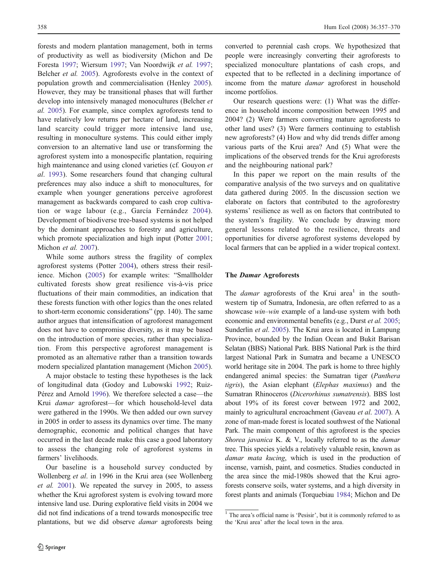forests and modern plantation management, both in terms of productivity as well as biodiversity (Michon and De Foresta [1997;](#page-13-0) Wiersum [1997;](#page-14-0) Van Noordwijk et al. [1997](#page-14-0); Belcher et al. [2005](#page-12-0)). Agroforests evolve in the context of population growth and commercialisation (Henley [2005](#page-13-0)). However, they may be transitional phases that will further develop into intensively managed monocultures (Belcher et al. [2005\)](#page-12-0). For example, since complex agroforests tend to have relatively low returns per hectare of land, increasing land scarcity could trigger more intensive land use, resulting in monoculture systems. This could either imply conversion to an alternative land use or transforming the agroforest system into a monospecific plantation, requiring high maintenance and using cloned varieties (cf. Gouyon et al. [1993\)](#page-13-0). Some researchers found that changing cultural preferences may also induce a shift to monocultures, for example when younger generations perceive agroforest management as backwards compared to cash crop cultivation or wage labour (e.g., García Fernández [2004](#page-13-0)). Development of biodiverse tree-based systems is not helped by the dominant approaches to forestry and agriculture, which promote specialization and high input (Potter [2001](#page-13-0); Michon et al. [2007](#page-13-0)).

While some authors stress the fragility of complex agroforest systems (Potter [2004](#page-13-0)), others stress their resilience. Michon ([2005](#page-13-0)) for example writes: "Smallholder cultivated forests show great resilience vis-à-vis price fluctuations of their main commodities, an indication that these forests function with other logics than the ones related to short-term economic considerations" (pp. 140). The same author argues that intensification of agroforest management does not have to compromise diversity, as it may be based on the introduction of more species, rather than specialization. From this perspective agroforest management is promoted as an alternative rather than a transition towards modern specialized plantation management (Michon [2005](#page-13-0)).

A major obstacle to testing these hypotheses is the lack of longitudinal data (Godoy and Lubowski [1992](#page-13-0); Ruiz-Pérez and Arnold [1996](#page-14-0)). We therefore selected a case—the Krui damar agroforest—for which household-level data were gathered in the 1990s. We then added our own survey in 2005 in order to assess its dynamics over time. The many demographic, economic and political changes that have occurred in the last decade make this case a good laboratory to assess the changing role of agroforest systems in farmers' livelihoods.

Our baseline is a household survey conducted by Wollenberg et al. in 1996 in the Krui area (see Wollenberg et al. [2001\)](#page-14-0). We repeated the survey in 2005, to assess whether the Krui agroforest system is evolving toward more intensive land use. During explorative field visits in 2004 we did not find indications of a trend towards monospecific tree plantations, but we did observe damar agroforests being converted to perennial cash crops. We hypothesized that people were increasingly converting their agroforests to specialized monoculture plantations of cash crops, and expected that to be reflected in a declining importance of income from the mature damar agroforest in household income portfolios.

Our research questions were: (1) What was the difference in household income composition between 1995 and 2004? (2) Were farmers converting mature agroforests to other land uses? (3) Were farmers continuing to establish new agroforests? (4) How and why did trends differ among various parts of the Krui area? And (5) What were the implications of the observed trends for the Krui agroforests and the neighbouring national park?

In this paper we report on the main results of the comparative analysis of the two surveys and on qualitative data gathered during 2005. In the discussion section we elaborate on factors that contributed to the agroforestry systems' resilience as well as on factors that contributed to the system's fragility. We conclude by drawing more general lessons related to the resilience, threats and opportunities for diverse agroforest systems developed by local farmers that can be applied in a wider tropical context.

#### The Damar Agroforests

The *damar* agroforests of the Krui area<sup>1</sup> in the southwestern tip of Sumatra, Indonesia, are often referred to as a showcase win*–*win example of a land-use system with both economic and environmental benefits (e.g., Durst et al. [2005;](#page-13-0) Sunderlin *et al.* [2005](#page-14-0)). The Krui area is located in Lampung Province, bounded by the Indian Ocean and Bukit Barisan Selatan (BBS) National Park. BBS National Park is the third largest National Park in Sumatra and became a UNESCO world heritage site in 2004. The park is home to three highly endangered animal species: the Sumatran tiger (Panthera tigris), the Asian elephant (Elephas maximus) and the Sumatran Rhinoceros (Dicerorhinus sumatrensis). BBS lost about 19% of its forest cover between 1972 and 2002, mainly to agricultural encroachment (Gaveau et al. [2007\)](#page-13-0). A zone of man-made forest is located southwest of the National Park. The main component of this agroforest is the species Shorea javanica K. & V., locally referred to as the *damar* tree. This species yields a relatively valuable resin, known as damar mata kucing, which is used in the production of incense, varnish, paint, and cosmetics. Studies conducted in the area since the mid-1980s showed that the Krui agroforests conserve soils, water systems, and a high diversity in forest plants and animals (Torquebiau [1984;](#page-14-0) Michon and De

<sup>&</sup>lt;sup>1</sup> The area's official name is 'Pesisir', but it is commonly referred to as the 'Krui area' after the local town in the area.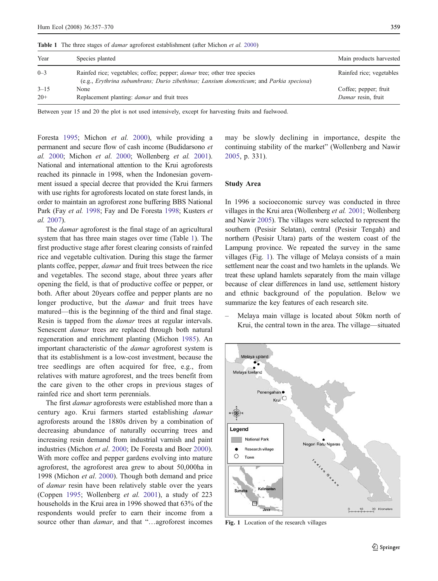Table 1 The three stages of *damar* agroforest establishment (after Michon et al. [2000\)](#page-13-0)

| Year     | Species planted                                                                                                                                                            | Main products harvested  |
|----------|----------------------------------------------------------------------------------------------------------------------------------------------------------------------------|--------------------------|
| $0 - 3$  | Rainfed rice; vegetables; coffee; pepper; <i>damar</i> tree; other tree species<br>(e.g., Erythrina subumbrans; Durio zibethinus; Lansium domesticum; and Parkia speciosa) | Rainfed rice; vegetables |
| $3 - 15$ | None                                                                                                                                                                       | Coffee; pepper; fruit    |
| $20+$    | Replacement planting: <i>damar</i> and fruit trees                                                                                                                         | Damar resin, fruit       |

Between year 15 and 20 the plot is not used intensively, except for harvesting fruits and fuelwood.

Foresta [1995;](#page-13-0) Michon et al. [2000\)](#page-13-0), while providing a permanent and secure flow of cash income (Budidarsono et al. [2000](#page-12-0); Michon et al. [2000;](#page-13-0) Wollenberg et al. [2001\)](#page-14-0). National and international attention to the Krui agroforests reached its pinnacle in 1998, when the Indonesian government issued a special decree that provided the Krui farmers with use rights for agroforests located on state forest lands, in order to maintain an agroforest zone buffering BBS National Park (Fay et al. [1998](#page-13-0); Fay and De Foresta 1998; Kusters et al. [2007\)](#page-13-0).

The *damar* agroforest is the final stage of an agricultural system that has three main stages over time (Table 1). The first productive stage after forest clearing consists of rainfed rice and vegetable cultivation. During this stage the farmer plants coffee, pepper, damar and fruit trees between the rice and vegetables. The second stage, about three years after opening the field, is that of productive coffee or pepper, or both. After about 20years coffee and pepper plants are no longer productive, but the *damar* and fruit trees have matured—this is the beginning of the third and final stage. Resin is tapped from the *damar* trees at regular intervals. Senescent *damar* trees are replaced through both natural regeneration and enrichment planting (Michon [1985\)](#page-13-0). An important characteristic of the damar agroforest system is that its establishment is a low-cost investment, because the tree seedlings are often acquired for free, e.g., from relatives with mature agroforest, and the trees benefit from the care given to the other crops in previous stages of rainfed rice and short term perennials.

The first *damar* agroforests were established more than a century ago. Krui farmers started establishing damar agroforests around the 1880s driven by a combination of decreasing abundance of naturally occurring trees and increasing resin demand from industrial varnish and paint industries (Michon et al. [2000](#page-13-0); De Foresta and Boer 2000). With more coffee and pepper gardens evolving into mature agroforest, the agroforest area grew to about 50,000ha in 1998 (Michon et al. [2000](#page-13-0)). Though both demand and price of damar resin have been relatively stable over the years (Coppen [1995](#page-13-0); Wollenberg et al. [2001](#page-14-0)), a study of 223 households in the Krui area in 1996 showed that 63% of the respondents would prefer to earn their income from a source other than *damar*, and that "...agroforest incomes

may be slowly declining in importance, despite the continuing stability of the market" (Wollenberg and Nawir [2005](#page-14-0), p. 331).

### Study Area

In 1996 a socioeconomic survey was conducted in three villages in the Krui area (Wollenberg et al. [2001;](#page-14-0) Wollenberg and Nawir [2005\)](#page-14-0). The villages were selected to represent the southern (Pesisir Selatan), central (Pesisir Tengah) and northern (Pesisir Utara) parts of the western coast of the Lampung province. We repeated the survey in the same villages (Fig. 1). The village of Melaya consists of a main settlement near the coast and two hamlets in the uplands. We treat these upland hamlets separately from the main village because of clear differences in land use, settlement history and ethnic background of the population. Below we summarize the key features of each research site.

– Melaya main village is located about 50km north of Krui, the central town in the area. The village—situated



Fig. 1 Location of the research villages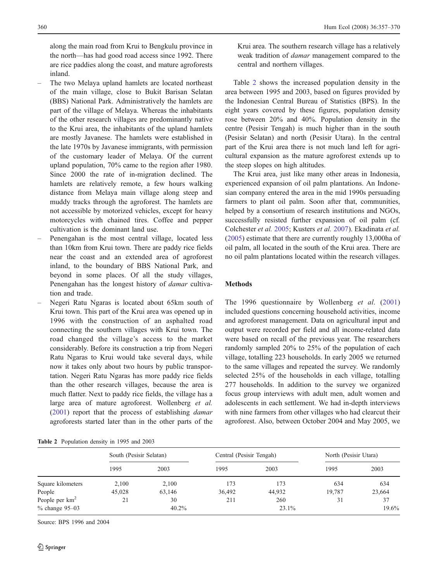along the main road from Krui to Bengkulu province in the north—has had good road access since 1992. There are rice paddies along the coast, and mature agroforests inland.

- The two Melaya upland hamlets are located northeast of the main village, close to Bukit Barisan Selatan (BBS) National Park. Administratively the hamlets are part of the village of Melaya. Whereas the inhabitants of the other research villages are predominantly native to the Krui area, the inhabitants of the upland hamlets are mostly Javanese. The hamlets were established in the late 1970s by Javanese immigrants, with permission of the customary leader of Melaya. Of the current upland population, 70% came to the region after 1980. Since 2000 the rate of in-migration declined. The hamlets are relatively remote, a few hours walking distance from Melaya main village along steep and muddy tracks through the agroforest. The hamlets are not accessible by motorized vehicles, except for heavy motorcycles with chained tires. Coffee and pepper cultivation is the dominant land use.
- Penengahan is the most central village, located less than 10km from Krui town. There are paddy rice fields near the coast and an extended area of agroforest inland, to the boundary of BBS National Park, and beyond in some places. Of all the study villages, Penengahan has the longest history of damar cultivation and trade.
- Negeri Ratu Ngaras is located about 65km south of Krui town. This part of the Krui area was opened up in 1996 with the construction of an asphalted road connecting the southern villages with Krui town. The road changed the village's access to the market considerably. Before its construction a trip from Negeri Ratu Ngaras to Krui would take several days, while now it takes only about two hours by public transportation. Negeri Ratu Ngaras has more paddy rice fields than the other research villages, because the area is much flatter. Next to paddy rice fields, the village has a large area of mature agroforest. Wollenberg et al. [\(2001](#page-14-0)) report that the process of establishing damar agroforests started later than in the other parts of the

| <b>Table 2</b> Population density in 1995 and 2003 |  |  |  |
|----------------------------------------------------|--|--|--|
|                                                    |  |  |  |

Krui area. The southern research village has a relatively weak tradition of damar management compared to the central and northern villages.

Table 2 shows the increased population density in the area between 1995 and 2003, based on figures provided by the Indonesian Central Bureau of Statistics (BPS). In the eight years covered by these figures, population density rose between 20% and 40%. Population density in the centre (Pesisir Tengah) is much higher than in the south (Pesisir Selatan) and north (Pesisir Utara). In the central part of the Krui area there is not much land left for agricultural expansion as the mature agroforest extends up to the steep slopes on high altitudes.

The Krui area, just like many other areas in Indonesia, experienced expansion of oil palm plantations. An Indonesian company entered the area in the mid 1990s persuading farmers to plant oil palm. Soon after that, communities, helped by a consortium of research institutions and NGOs, successfully resisted further expansion of oil palm (cf. Colchester et al. [2005](#page-13-0); Kusters et al. [2007\)](#page-13-0). Ekadinata et al. [\(2005](#page-13-0)) estimate that there are currently roughly 13,000ha of oil palm, all located in the south of the Krui area. There are no oil palm plantations located within the research villages.

### Methods

The 1996 questionnaire by Wollenberg et al. ([2001](#page-14-0)) included questions concerning household activities, income and agroforest management. Data on agricultural input and output were recorded per field and all income-related data were based on recall of the previous year. The researchers randomly sampled 20% to 25% of the population of each village, totalling 223 households. In early 2005 we returned to the same villages and repeated the survey. We randomly selected 25% of the households in each village, totalling 277 households. In addition to the survey we organized focus group interviews with adult men, adult women and adolescents in each settlement. We had in-depth interviews with nine farmers from other villages who had clearcut their agroforest. Also, between October 2004 and May 2005, we

|                             | South (Pesisir Selatan) |        | Central (Pesisir Tengah) |        | North (Pesisir Utara) |        |  |
|-----------------------------|-------------------------|--------|--------------------------|--------|-----------------------|--------|--|
|                             | 1995                    | 2003   | 1995                     | 2003   | 1995                  | 2003   |  |
| Square kilometers           | 2,100                   | 2,100  | 173                      | 173    | 634                   | 634    |  |
| People                      | 45,028                  | 63,146 | 36,492                   | 44,932 | 19.787                | 23,664 |  |
| People per $km^2$           | 21                      | 30     | 211                      | 260    | 31                    | 37     |  |
| $%$ change $95-03$<br>40.2% |                         |        |                          | 23.1%  |                       | 19.6%  |  |

Source: BPS 1996 and 2004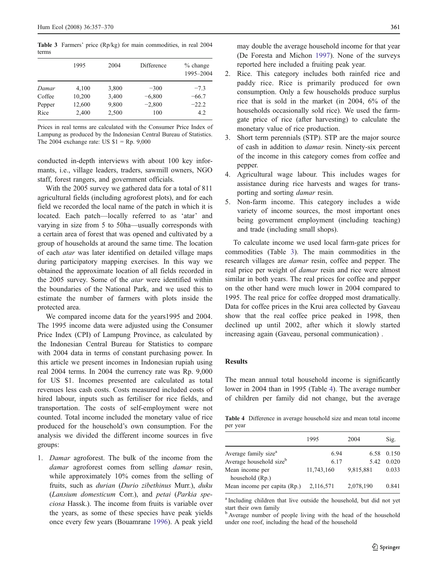<span id="page-5-0"></span>Table 3 Farmers' price (Rp/kg) for main commodities, in real 2004 terms

|        | 1995   | 2004  | Difference | $%$ change<br>1995-2004 |
|--------|--------|-------|------------|-------------------------|
| Damar  | 4,100  | 3,800 | $-300$     | $-7.3$                  |
| Coffee | 10,200 | 3,400 | $-6,800$   | $-66.7$                 |
| Pepper | 12,600 | 9,800 | $-2,800$   | $-22.2$                 |
| Rice   | 2,400  | 2,500 | 100        | 4.2                     |

Prices in real terms are calculated with the Consumer Price Index of Lampung as produced by the Indonesian Central Bureau of Statistics. The 2004 exchange rate: US  $$1 = Rp. 9,000$ 

conducted in-depth interviews with about 100 key informants, i.e., village leaders, traders, sawmill owners, NGO staff, forest rangers, and government officials.

With the 2005 survey we gathered data for a total of 811 agricultural fields (including agroforest plots), and for each field we recorded the local name of the patch in which it is located. Each patch—locally referred to as 'atar' and varying in size from 5 to 50ha—usually corresponds with a certain area of forest that was opened and cultivated by a group of households at around the same time. The location of each atar was later identified on detailed village maps during participatory mapping exercises. In this way we obtained the approximate location of all fields recorded in the 2005 survey. Some of the atar were identified within the boundaries of the National Park, and we used this to estimate the number of farmers with plots inside the protected area.

We compared income data for the years1995 and 2004. The 1995 income data were adjusted using the Consumer Price Index (CPI) of Lampung Province, as calculated by the Indonesian Central Bureau for Statistics to compare with 2004 data in terms of constant purchasing power. In this article we present incomes in Indonesian rupiah using real 2004 terms. In 2004 the currency rate was Rp. 9,000 for US \$1. Incomes presented are calculated as total revenues less cash costs. Costs measured included costs of hired labour, inputs such as fertiliser for rice fields, and transportation. The costs of self-employment were not counted. Total income included the monetary value of rice produced for the household's own consumption. For the analysis we divided the different income sources in five groups:

1. Damar agroforest. The bulk of the income from the damar agroforest comes from selling *damar* resin, while approximately 10% comes from the selling of fruits, such as durian (Durio zibethinus Murr.), duku (Lansium domesticum Corr.), and petai (Parkia speciosa Hassk.). The income from fruits is variable over the years, as some of these species have peak yields once every few years (Bouamrane [1996](#page-12-0)). A peak yield

may double the average household income for that year (De Foresta and Michon [1997\)](#page-13-0). None of the surveys reported here included a fruiting peak year.

- 2. Rice. This category includes both rainfed rice and paddy rice. Rice is primarily produced for own consumption. Only a few households produce surplus rice that is sold in the market (in 2004, 6% of the households occasionally sold rice). We used the farmgate price of rice (after harvesting) to calculate the monetary value of rice production.
- 3. Short term perennials (STP). STP are the major source of cash in addition to damar resin. Ninety-six percent of the income in this category comes from coffee and pepper.
- 4. Agricultural wage labour. This includes wages for assistance during rice harvests and wages for transporting and sorting damar resin.
- 5. Non-farm income. This category includes a wide variety of income sources, the most important ones being government employment (including teaching) and trade (including small shops).

To calculate income we used local farm-gate prices for commodities (Table 3). The main commodities in the research villages are damar resin, coffee and pepper. The real price per weight of damar resin and rice were almost similar in both years. The real prices for coffee and pepper on the other hand were much lower in 2004 compared to 1995. The real price for coffee dropped most dramatically. Data for coffee prices in the Krui area collected by Gaveau show that the real coffee price peaked in 1998, then declined up until 2002, after which it slowly started increasing again (Gaveau, personal communication) .

#### Results

The mean annual total household income is significantly lower in 2004 than in 1995 (Table 4). The average number of children per family did not change, but the average

Table 4 Difference in average household size and mean total income per year

| 1995       | 2004      | Sig.  |
|------------|-----------|-------|
| 6.94       | 6.58      | 0.150 |
| 6.17       | 5.42      | 0.020 |
| 11,743,160 | 9,815,881 | 0.033 |
|            |           |       |
| 2,116,571  | 2,078,190 | 0.841 |
|            |           |       |

<sup>a</sup> Including children that live outside the household, but did not yet start their own family

<sup>b</sup> Average number of people living with the head of the household under one roof, including the head of the household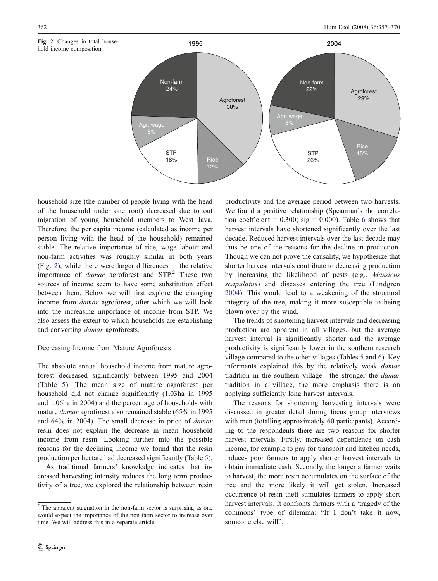



household size (the number of people living with the head of the household under one roof) decreased due to out migration of young household members to West Java. Therefore, the per capita income (calculated as income per person living with the head of the household) remained stable. The relative importance of rice, wage labour and non-farm activities was roughly similar in both years (Fig. 2), while there were larger differences in the relative importance of  $damar$  agroforest and STP.<sup>2</sup> These two sources of income seem to have some substitution effect between them. Below we will first explore the changing income from damar agroforest, after which we will look into the increasing importance of income from STP. We also assess the extent to which households are establishing and converting damar agroforests.

#### Decreasing Income from Mature Agroforests

The absolute annual household income from mature agroforest decreased significantly between 1995 and 2004 (Table [5](#page-7-0)). The mean size of mature agroforest per household did not change significantly (1.03ha in 1995 and 1.06ha in 2004) and the percentage of households with mature damar agroforest also remained stable (65% in 1995 and 64% in 2004). The small decrease in price of damar resin does not explain the decrease in mean household income from resin. Looking further into the possible reasons for the declining income we found that the resin production per hectare had decreased significantly (Table [5](#page-7-0)).

As traditional farmers' knowledge indicates that increased harvesting intensity reduces the long term productivity of a tree, we explored the relationship between resin productivity and the average period between two harvests. We found a positive relationship (Spearman's rho correlation coefficient =  $0.300$ ; sig =  $0.000$ ). Table [6](#page-7-0) shows that harvest intervals have shortened significantly over the last decade. Reduced harvest intervals over the last decade may thus be one of the reasons for the decline in production. Though we can not prove the causality, we hypothesize that shorter harvest intervals contribute to decreasing production by increasing the likelihood of pests (e.g., Massicus scapulatus) and diseases entering the tree (Lindgren [2004](#page-13-0)). This would lead to a weakening of the structural integrity of the tree, making it more susceptible to being blown over by the wind.

The trends of shortening harvest intervals and decreasing production are apparent in all villages, but the average harvest interval is significantly shorter and the average productivity is significantly lower in the southern research village compared to the other villages (Tables [5](#page-7-0) and [6](#page-7-0)). Key informants explained this by the relatively weak damar tradition in the southern village—the stronger the damar tradition in a village, the more emphasis there is on applying sufficiently long harvest intervals.

The reasons for shortening harvesting intervals were discussed in greater detail during focus group interviews with men (totalling approximately 60 participants). According to the respondents there are two reasons for shorter harvest intervals. Firstly, increased dependence on cash income, for example to pay for transport and kitchen needs, induces poor farmers to apply shorter harvest intervals to obtain immediate cash. Secondly, the longer a farmer waits to harvest, the more resin accumulates on the surface of the tree and the more likely it will get stolen. Increased occurrence of resin theft stimulates farmers to apply short harvest intervals. It confronts farmers with a 'tragedy of the commons' type of dilemma: "If I don't take it now, someone else will".

 $2$  The apparent stagnation in the non-farm sector is surprising as one would expect the importance of the non-farm sector to increase over time. We will address this in a separate article.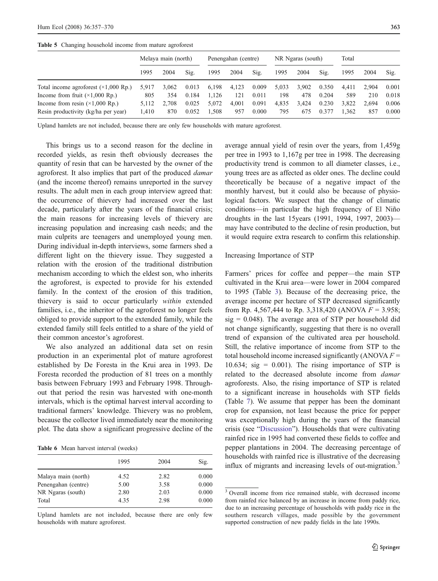|                                              | Melaya main (north) |       |       | Penengahan (centre) |       |       | NR Ngaras (south) |       |       | Total |       |       |
|----------------------------------------------|---------------------|-------|-------|---------------------|-------|-------|-------------------|-------|-------|-------|-------|-------|
|                                              | 1995                | 2004  | Sig.  | 1995                | 2004  | Sig.  | 1995              | 2004  | Sig.  | 1995  | 2004  | Sig.  |
| Total income agroforest $(\times 1,000$ Rp.) | 5.917               | 3.062 | 0.013 | 6,198               | 4,123 | 0.009 | 5,033             | 3,902 | 0.350 | 4.411 | 2.904 | 0.001 |
| Income from fruit $(\times 1,000$ Rp.)       | 805                 | 354   | 0.184 | 1.126               | 121   | 0.011 | 198               | 478   | 0.204 | 589   | 210   | 0.018 |
| Income from resin $(\times 1,000$ Rp.)       | 5.112               | 2.708 | 0.025 | 5.072               | 4.001 | 0.091 | 4,835             | 3,424 | 0.230 | 3.822 | 2.694 | 0.006 |
| Resin productivity (kg/ha per year)          | 1.410               | 870   | 0.052 | 1.508               | 957   | 0.000 | 795               | 675   | 0.377 | 1.362 | 857   | 0.000 |

<span id="page-7-0"></span>Table 5 Changing household income from mature agroforest

Upland hamlets are not included, because there are only few households with mature agroforest.

This brings us to a second reason for the decline in recorded yields, as resin theft obviously decreases the quantity of resin that can be harvested by the owner of the agroforest. It also implies that part of the produced damar (and the income thereof) remains unreported in the survey results. The adult men in each group interview agreed that: the occurrence of thievery had increased over the last decade, particularly after the years of the financial crisis; the main reasons for increasing levels of thievery are increasing population and increasing cash needs; and the main culprits are teenagers and unemployed young men. During individual in-depth interviews, some farmers shed a different light on the thievery issue. They suggested a relation with the erosion of the traditional distribution mechanism according to which the eldest son, who inherits the agroforest, is expected to provide for his extended family. In the context of the erosion of this tradition, thievery is said to occur particularly within extended families, i.e., the inheritor of the agroforest no longer feels obliged to provide support to the extended family, while the extended family still feels entitled to a share of the yield of their common ancestor's agroforest.

We also analyzed an additional data set on resin production in an experimental plot of mature agroforest established by De Foresta in the Krui area in 1993. De Foresta recorded the production of 81 trees on a monthly basis between February 1993 and February 1998. Throughout that period the resin was harvested with one-month intervals, which is the optimal harvest interval according to traditional farmers' knowledge. Thievery was no problem, because the collector lived immediately near the monitoring plot. The data show a significant progressive decline of the

Table 6 Mean harvest interval (weeks)

|                     | 1995 | 2004 | Sig.  |
|---------------------|------|------|-------|
| Malaya main (north) | 4.52 | 2.82 | 0.000 |
| Penengahan (centre) | 5.00 | 3.58 | 0.000 |
| NR Ngaras (south)   | 2.80 | 2.03 | 0.000 |
| Total               | 4.35 | 2.98 | 0.000 |

Upland hamlets are not included, because there are only few households with mature agroforest.

average annual yield of resin over the years, from 1,459g per tree in 1993 to 1,167g per tree in 1998. The decreasing productivity trend is common to all diameter classes, i.e., young trees are as affected as older ones. The decline could theoretically be because of a negative impact of the monthly harvest, but it could also be because of physiological factors. We suspect that the change of climatic conditions—in particular the high frequency of El Niño droughts in the last 15years (1991, 1994, 1997, 2003) may have contributed to the decline of resin production, but it would require extra research to confirm this relationship.

#### Increasing Importance of STP

Farmers' prices for coffee and pepper—the main STP cultivated in the Krui area—were lower in 2004 compared to 1995 (Table [3\)](#page-5-0). Because of the decreasing price, the average income per hectare of STP decreased significantly from Rp. 4,567,444 to Rp. 3,318,420 (ANOVA  $F = 3.958$ ;  $sig = 0.048$ ). The average area of STP per household did not change significantly, suggesting that there is no overall trend of expansion of the cultivated area per household. Still, the relative importance of income from STP to the total household income increased significantly (ANOVA  $F =$ 10.634; sig =  $0.001$ ). The rising importance of STP is related to the decreased absolute income from damar agroforests. Also, the rising importance of STP is related to a significant increase in households with STP fields (Table [7](#page-8-0)). We assume that pepper has been the dominant crop for expansion, not least because the price for pepper was exceptionally high during the years of the financial crisis (see "[Discussion](#page-10-0)"). Households that were cultivating rainfed rice in 1995 had converted these fields to coffee and pepper plantations in 2004. The decreasing percentage of households with rainfed rice is illustrative of the decreasing influx of migrants and increasing levels of out-migration.<sup>3</sup>

<sup>&</sup>lt;sup>3</sup> Overall income from rice remained stable, with decreased income from rainfed rice balanced by an increase in income from paddy rice, due to an increasing percentage of households with paddy rice in the southern research villages, made possible by the government supported construction of new paddy fields in the late 1990s.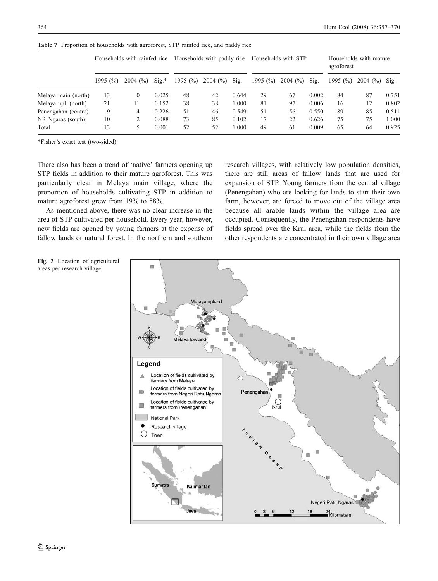|                     | Households with rainfed rice |                     | Households with paddy rice |             |                                    | Households with STP |             |         | Households with mature<br>agroforest |             |         |       |
|---------------------|------------------------------|---------------------|----------------------------|-------------|------------------------------------|---------------------|-------------|---------|--------------------------------------|-------------|---------|-------|
|                     | 1995 $(\%)$                  | $2004~(^{\circ}\%)$ | $\mathrm{Sig.}^*$          | 1995 $(\%)$ | $2004 \frac{\binom{6}{0}}{3}$ Sig. |                     | 1995 $(\%)$ | 2004(%) | Sig.                                 | 1995 $(\%)$ | 2004(%) | Sig.  |
| Melaya main (north) | 13                           | $\mathbf{0}$        | 0.025                      | 48          | 42                                 | 0.644               | 29          | 67      | 0.002                                | 84          | 87      | 0.751 |
| Melaya upl. (north) | 21                           | 11                  | 0.152                      | 38          | 38                                 | 000.1               | 81          | 97      | 0.006                                | 16          | 12      | 0.802 |
| Penengahan (centre) | 9                            | 4                   | 0.226                      | 51          | 46                                 | 0.549               | 51          | 56      | 0.550                                | 89          | 85      | 0.511 |
| NR Ngaras (south)   | 10                           |                     | 0.088                      | 73          | 85                                 | 0.102               | 17          | 22      | 0.626                                | 75          | 75      | 1.000 |
| Total               | 13                           | 5                   | 0.001                      | 52          | 52                                 | .000                | 49          | 61      | 0.009                                | 65          | 64      | 0.925 |

<span id="page-8-0"></span>Table 7 Proportion of households with agroforest, STP, rainfed rice, and paddy rice

\*Fisher's exact test (two-sided)

There also has been a trend of 'native' farmers opening up STP fields in addition to their mature agroforest. This was particularly clear in Melaya main village, where the proportion of households cultivating STP in addition to mature agroforest grew from 19% to 58%.

As mentioned above, there was no clear increase in the area of STP cultivated per household. Every year, however, new fields are opened by young farmers at the expense of fallow lands or natural forest. In the northern and southern

research villages, with relatively low population densities, there are still areas of fallow lands that are used for expansion of STP. Young farmers from the central village (Penengahan) who are looking for lands to start their own farm, however, are forced to move out of the village area because all arable lands within the village area are occupied. Consequently, the Penengahan respondents have fields spread over the Krui area, while the fields from the other respondents are concentrated in their own village area



Fig. 3 Location of agricultural areas per research village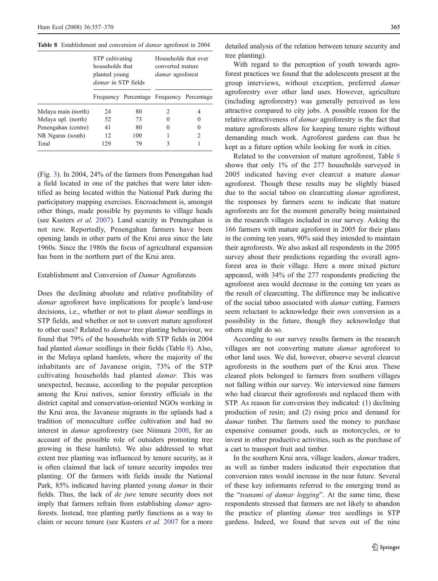|                     | STP cultivating<br>households that<br>planted young<br><i>damar</i> in STP fields |                                           | Households that ever<br>converted mature<br><i>damar</i> agroforest |   |
|---------------------|-----------------------------------------------------------------------------------|-------------------------------------------|---------------------------------------------------------------------|---|
|                     |                                                                                   | Frequency Percentage Frequency Percentage |                                                                     |   |
| Melaya main (north) | 24                                                                                | 80                                        | 2                                                                   |   |
| Melaya upl. (north) | 52                                                                                | 73                                        |                                                                     |   |
| Penengahan (centre) | 41                                                                                | 80                                        | 0                                                                   |   |
| NR Ngaras (south)   | 12                                                                                | 100                                       |                                                                     | 2 |
| Total               | 129                                                                               | 79                                        |                                                                     |   |

Table 8 Establishment and conversion of *damar* agroforest in 2004

(Fig. [3\)](#page-8-0). In 2004, 24% of the farmers from Penengahan had a field located in one of the patches that were later identified as being located within the National Park during the participatory mapping exercises. Encroachment is, amongst other things, made possible by payments to village heads (see Kusters et al. [2007](#page-13-0)). Land scarcity in Penengahan is not new. Reportedly, Penengahan farmers have been opening lands in other parts of the Krui area since the late 1960s. Since the 1980s the focus of agricultural expansion has been in the northern part of the Krui area.

#### Establishment and Conversion of Damar Agroforests

Does the declining absolute and relative profitability of damar agroforest have implications for people's land-use decisions, i.e., whether or not to plant damar seedlings in STP fields, and whether or not to convert mature agroforest to other uses? Related to damar tree planting behaviour, we found that 79% of the households with STP fields in 2004 had planted *damar* seedlings in their fields (Table 8). Also, in the Melaya upland hamlets, where the majority of the inhabitants are of Javanese origin, 73% of the STP cultivating households had planted damar. This was unexpected, because, according to the popular perception among the Krui natives, senior forestry officials in the district capital and conservation-oriented NGOs working in the Krui area, the Javanese migrants in the uplands had a tradition of monoculture coffee cultivation and had no interest in damar agroforestry (see Niimura [2000](#page-13-0), for an account of the possible role of outsiders promoting tree growing in these hamlets). We also addressed to what extent tree planting was influenced by tenure security, as it is often claimed that lack of tenure security impedes tree planting. Of the farmers with fields inside the National Park, 85% indicated having planted young damar in their fields. Thus, the lack of de jure tenure security does not imply that farmers refrain from establishing *damar* agroforests. Instead, tree planting partly functions as a way to claim or secure tenure (see Kusters et al. [2007](#page-13-0) for a more

detailed analysis of the relation between tenure security and tree planting).

With regard to the perception of youth towards agroforest practices we found that the adolescents present at the group interviews, without exception, preferred damar agroforestry over other land uses. However, agriculture (including agroforestry) was generally perceived as less attractive compared to city jobs. A possible reason for the relative attractiveness of damar agroforestry is the fact that mature agroforests allow for keeping tenure rights without demanding much work. Agroforest gardens can thus be kept as a future option while looking for work in cities.

Related to the conversion of mature agroforest, Table 8 shows that only 1% of the 277 households surveyed in 2005 indicated having ever clearcut a mature damar agroforest. Though these results may be slightly biased due to the social taboo on clearcutting damar agroforest, the responses by farmers seem to indicate that mature agroforests are for the moment generally being maintained in the research villages included in our survey. Asking the 166 farmers with mature agroforest in 2005 for their plans in the coming ten years, 90% said they intended to maintain their agroforests. We also asked all respondents in the 2005 survey about their predictions regarding the overall agroforest area in their village. Here a more mixed picture appeared, with 34% of the 277 respondents predicting the agroforest area would decrease in the coming ten years as the result of clearcutting. The difference may be indicative of the social taboo associated with damar cutting. Farmers seem reluctant to acknowledge their own conversion as a possibility in the future, though they acknowledge that others might do so.

According to our survey results farmers in the research villages are not converting mature damar agroforest to other land uses. We did, however, observe several clearcut agroforests in the southern part of the Krui area. These cleared plots belonged to farmers from southern villages not falling within our survey. We interviewed nine farmers who had clearcut their agroforests and replaced them with STP. As reason for conversion they indicated: (1) declining production of resin; and (2) rising price and demand for damar timber. The farmers used the money to purchase expensive consumer goods, such as motorcycles, or to invest in other productive activities, such as the purchase of a cart to transport fruit and timber.

In the southern Krui area, village leaders, damar traders, as well as timber traders indicated their expectation that conversion rates would increase in the near future. Several of these key informants referred to the emerging trend as the "tsunami of damar logging". At the same time, these respondents stressed that farmers are not likely to abandon the practice of planting damar tree seedlings in STP gardens. Indeed, we found that seven out of the nine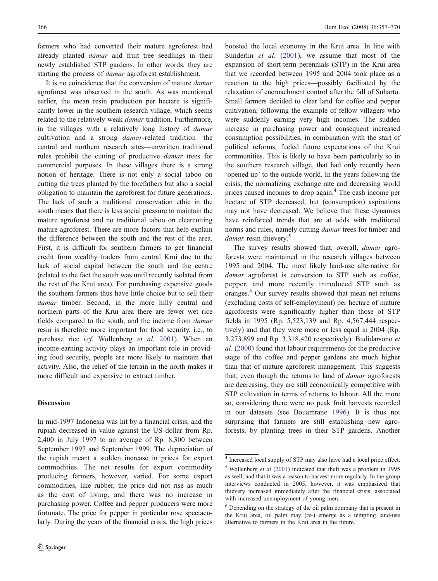<span id="page-10-0"></span>farmers who had converted their mature agroforest had already planted damar and fruit tree seedlings in their newly established STP gardens. In other words, they are starting the process of damar agroforest establishment.

It is no coincidence that the conversion of mature *damar* agroforest was observed in the south. As was mentioned earlier, the mean resin production per hectare is significantly lower in the southern research village, which seems related to the relatively weak damar tradition. Furthermore, in the villages with a relatively long history of damar cultivation and a strong damar-related tradition—the central and northern research sites—unwritten traditional rules prohibit the cutting of productive damar trees for commercial purposes. In these villages there is a strong notion of heritage. There is not only a social taboo on cutting the trees planted by the forefathers but also a social obligation to maintain the agroforest for future generations. The lack of such a traditional conservation ethic in the south means that there is less social pressure to maintain the mature agroforest and no traditional taboo on clearcutting mature agroforest. There are more factors that help explain the difference between the south and the rest of the area. First, it is difficult for southern farmers to get financial credit from wealthy traders from central Krui due to the lack of social capital between the south and the centre (related to the fact the south was until recently isolated from the rest of the Krui area). For purchasing expensive goods the southern farmers thus have little choice but to sell their damar timber. Second, in the more hilly central and northern parts of the Krui area there are fewer wet rice fields compared to the south, and the income from *damar* resin is therefore more important for food security, i.e., to purchase rice (cf. Wollenberg et al. [2001](#page-14-0)). When an income-earning activity plays an important role in providing food security, people are more likely to maintain that activity. Also, the relief of the terrain in the north makes it more difficult and expensive to extract timber.

#### Discussion

In mid-1997 Indonesia was hit by a financial crisis, and the rupiah decreased in value against the US dollar from Rp. 2,400 in July 1997 to an average of Rp. 8,300 between September 1997 and September 1999. The depreciation of the rupiah meant a sudden increase in prices for export commodities. The net results for export commodity producing farmers, however, varied. For some export commodities, like rubber, the price did not rise as much as the cost of living, and there was no increase in purchasing power. Coffee and pepper producers were more fortunate. The price for pepper in particular rose spectacularly. During the years of the financial crisis, the high prices

boosted the local economy in the Krui area. In line with Sunderlin et al. ([2001\)](#page-14-0), we assume that most of the expansion of short-term perennials (STP) in the Krui area that we recorded between 1995 and 2004 took place as a reaction to the high prices—possibly facilitated by the relaxation of encroachment control after the fall of Suharto. Small farmers decided to clear land for coffee and pepper cultivation, following the example of fellow villagers who were suddenly earning very high incomes. The sudden increase in purchasing power and consequent increased consumption possibilities, in combination with the start of political reforms, fueled future expectations of the Krui communities. This is likely to have been particularly so in the southern research village, that had only recently been 'opened up' to the outside world. In the years following the crisis, the normalizing exchange rate and decreasing world prices caused incomes to drop again.<sup>4</sup> The cash income per hectare of STP decreased, but (consumption) aspirations may not have decreased. We believe that these dynamics have reinforced trends that are at odds with traditional norms and rules, namely cutting damar trees for timber and damar resin thievery.<sup>5</sup>

The survey results showed that, overall, *damar* agroforests were maintained in the research villages between 1995 and 2004. The most likely land-use alternative for damar agroforest is conversion to STP such as coffee, pepper, and more recently introduced STP such as oranges.<sup>6</sup> Our survey results showed that mean net returns (excluding costs of self-employment) per hectare of mature agroforests were significantly higher than those of STP fields in 1995 (Rp. 5,523,139 and Rp. 4,567,444 respectively) and that they were more or less equal in 2004 (Rp. 3,273,899 and Rp. 3,318,420 respectively). Budidarsono et al. [\(2000](#page-12-0)) found that labour requirements for the productive stage of the coffee and pepper gardens are much higher than that of mature agroforest management. This suggests that, even though the returns to land of damar agroforests are decreasing, they are still economically competitive with STP cultivation in terms of returns to labour. All the more so, considering there were no peak fruit harvests recorded in our datasets (see Bouamrane [1996\)](#page-12-0). It is thus not surprising that farmers are still establishing new agroforests, by planting trees in their STP gardens. Another

<sup>4</sup> Increased local supply of STP may also have had a local price effect.  $5$  Wollenberg *et al* ([2001\)](#page-14-0) indicated that theft was a problem in 1995 as well, and that it was a reason to harvest more regularly. In the group interviews conducted in 2005, however, it was emphasized that thievery increased immediately after the financial crisis, associated with increased unemployment of young men.

<sup>6</sup> Depending on the strategy of the oil palm company that is present in the Krui area, oil palm may (re-) emerge as a tempting land-use alternative to farmers in the Krui area in the future.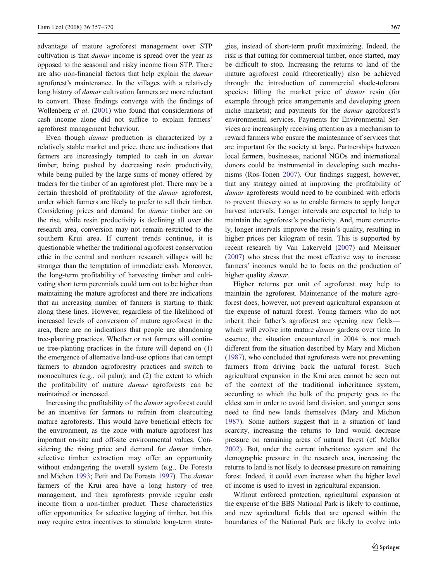advantage of mature agroforest management over STP cultivation is that damar income is spread over the year as opposed to the seasonal and risky income from STP. There are also non-financial factors that help explain the damar agroforest's maintenance. In the villages with a relatively long history of *damar* cultivation farmers are more reluctant to convert. These findings converge with the findings of Wollenberg et al. ([2001\)](#page-14-0) who found that considerations of cash income alone did not suffice to explain farmers' agroforest management behaviour.

Even though damar production is characterized by a relatively stable market and price, there are indications that farmers are increasingly tempted to cash in on *damar* timber, being pushed by decreasing resin productivity, while being pulled by the large sums of money offered by traders for the timber of an agroforest plot. There may be a certain threshold of profitability of the damar agroforest, under which farmers are likely to prefer to sell their timber. Considering prices and demand for damar timber are on the rise, while resin productivity is declining all over the research area, conversion may not remain restricted to the southern Krui area. If current trends continue, it is questionable whether the traditional agroforest conservation ethic in the central and northern research villages will be stronger than the temptation of immediate cash. Moreover, the long-term profitability of harvesting timber and cultivating short term perennials could turn out to be higher than maintaining the mature agroforest and there are indications that an increasing number of farmers is starting to think along these lines. However, regardless of the likelihood of increased levels of conversion of mature agroforest in the area, there are no indications that people are abandoning tree-planting practices. Whether or not farmers will continue tree-planting practices in the future will depend on (1) the emergence of alternative land-use options that can tempt farmers to abandon agroforestry practices and switch to monocultures (e.g., oil palm); and (2) the extent to which the profitability of mature damar agroforests can be maintained or increased.

Increasing the profitability of the damar agroforest could be an incentive for farmers to refrain from clearcutting mature agroforests. This would have beneficial effects for the environment, as the zone with mature agroforest has important on-site and off-site environmental values. Considering the rising price and demand for *damar* timber, selective timber extraction may offer an opportunity without endangering the overall system (e.g., De Foresta and Michon [1993;](#page-13-0) Petit and De Foresta [1997](#page-13-0)). The damar farmers of the Krui area have a long history of tree management, and their agroforests provide regular cash income from a non-timber product. These characteristics offer opportunities for selective logging of timber, but this may require extra incentives to stimulate long-term strategies, instead of short-term profit maximizing. Indeed, the risk is that cutting for commercial timber, once started, may be difficult to stop. Increasing the returns to land of the mature agroforest could (theoretically) also be achieved through: the introduction of commercial shade-tolerant species; lifting the market price of damar resin (for example through price arrangements and developing green niche markets); and payments for the damar agroforest's environmental services. Payments for Environmental Services are increasingly receiving attention as a mechanism to reward farmers who ensure the maintenance of services that are important for the society at large. Partnerships between local farmers, businesses, national NGOs and international donors could be instrumental in developing such mechanisms (Ros-Tonen [2007\)](#page-14-0). Our findings suggest, however, that any strategy aimed at improving the profitability of damar agroforests would need to be combined with efforts to prevent thievery so as to enable farmers to apply longer harvest intervals. Longer intervals are expected to help to maintain the agroforest's productivity. And, more concretely, longer intervals improve the resin's quality, resulting in higher prices per kilogram of resin. This is supported by recent research by Van Lakerveld [\(2007](#page-14-0)) and Meissner [\(2007](#page-13-0)) who stress that the most effective way to increase farmers' incomes would be to focus on the production of higher quality damar.

Higher returns per unit of agroforest may help to maintain the agroforest. Maintenance of the mature agroforest does, however, not prevent agricultural expansion at the expense of natural forest. Young farmers who do not inherit their father's agroforest are opening new fields which will evolve into mature *damar* gardens over time. In essence, the situation encountered in 2004 is not much different from the situation described by Mary and Michon [\(1987](#page-13-0)), who concluded that agroforests were not preventing farmers from driving back the natural forest. Such agricultural expansion in the Krui area cannot be seen out of the context of the traditional inheritance system, according to which the bulk of the property goes to the eldest son in order to avoid land division, and younger sons need to find new lands themselves (Mary and Michon [1987](#page-13-0)). Some authors suggest that in a situation of land scarcity, increasing the returns to land would decrease pressure on remaining areas of natural forest (cf. Mellor [2002\)](#page-13-0). But, under the current inheritance system and the demographic pressure in the research area, increasing the returns to land is not likely to decrease pressure on remaining forest. Indeed, it could even increase when the higher level of income is used to invest in agricultural expansion.

Without enforced protection, agricultural expansion at the expense of the BBS National Park is likely to continue, and new agricultural fields that are opened within the boundaries of the National Park are likely to evolve into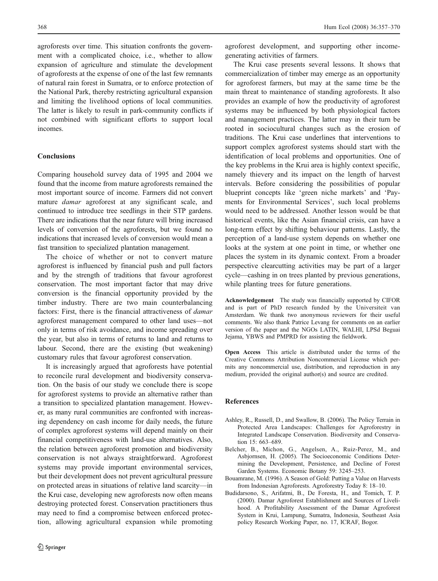<span id="page-12-0"></span>agroforests over time. This situation confronts the government with a complicated choice, i.e., whether to allow expansion of agriculture and stimulate the development of agroforests at the expense of one of the last few remnants of natural rain forest in Sumatra, or to enforce protection of the National Park, thereby restricting agricultural expansion and limiting the livelihood options of local communities. The latter is likely to result in park-community conflicts if not combined with significant efforts to support local incomes.

#### **Conclusions**

Comparing household survey data of 1995 and 2004 we found that the income from mature agroforests remained the most important source of income. Farmers did not convert mature damar agroforest at any significant scale, and continued to introduce tree seedlings in their STP gardens. There are indications that the near future will bring increased levels of conversion of the agroforests, but we found no indications that increased levels of conversion would mean a fast transition to specialized plantation management.

The choice of whether or not to convert mature agroforest is influenced by financial push and pull factors and by the strength of traditions that favour agroforest conservation. The most important factor that may drive conversion is the financial opportunity provided by the timber industry. There are two main counterbalancing factors: First, there is the financial attractiveness of damar agroforest management compared to other land uses—not only in terms of risk avoidance, and income spreading over the year, but also in terms of returns to land and returns to labour. Second, there are the existing (but weakening) customary rules that favour agroforest conservation.

It is increasingly argued that agroforests have potential to reconcile rural development and biodiversity conservation. On the basis of our study we conclude there is scope for agroforest systems to provide an alternative rather than a transition to specialized plantation management. However, as many rural communities are confronted with increasing dependency on cash income for daily needs, the future of complex agroforest systems will depend mainly on their financial competitiveness with land-use alternatives. Also, the relation between agroforest promotion and biodiversity conservation is not always straightforward. Agroforest systems may provide important environmental services, but their development does not prevent agricultural pressure on protected areas in situations of relative land scarcity—in the Krui case, developing new agroforests now often means destroying protected forest. Conservation practitioners thus may need to find a compromise between enforced protection, allowing agricultural expansion while promoting

agroforest development, and supporting other incomegenerating activities of farmers.

The Krui case presents several lessons. It shows that commercialization of timber may emerge as an opportunity for agroforest farmers, but may at the same time be the main threat to maintenance of standing agroforests. It also provides an example of how the productivity of agroforest systems may be influenced by both physiological factors and management practices. The latter may in their turn be rooted in sociocultural changes such as the erosion of traditions. The Krui case underlines that interventions to support complex agroforest systems should start with the identification of local problems and opportunities. One of the key problems in the Krui area is highly context specific, namely thievery and its impact on the length of harvest intervals. Before considering the possibilities of popular blueprint concepts like 'green niche markets' and 'Payments for Environmental Services', such local problems would need to be addressed. Another lesson would be that historical events, like the Asian financial crisis, can have a long-term effect by shifting behaviour patterns. Lastly, the perception of a land-use system depends on whether one looks at the system at one point in time, or whether one places the system in its dynamic context. From a broader perspective clearcutting activities may be part of a larger cycle—cashing in on trees planted by previous generations, while planting trees for future generations.

Acknowledgement The study was financially supported by CIFOR and is part of PhD research funded by the Universiteit van Amsterdam. We thank two anonymous reviewers for their useful comments. We also thank Patrice Levang for comments on an earlier version of the paper and the NGOs LATIN, WALHI, LPSd Beguai Jejama, YBWS and PMPRD for assisting the fieldwork.

Open Access This article is distributed under the terms of the Creative Commons Attribution Noncommercial License which permits any noncommercial use, distribution, and reproduction in any medium, provided the original author(s) and source are credited.

#### References

- Ashley, R., Russell, D., and Swallow, B. (2006). The Policy Terrain in Protected Area Landscapes: Challenges for Agroforestry in Integrated Landscape Conservation. Biodiversity and Conservation 15: 663–689.
- Belcher, B., Michon, G., Angelsen, A., Ruiz-Perez, M., and Asbjornsen, H. (2005). The Socioeconomic Conditions Determining the Development, Persistence, and Decline of Forest Garden Systems. Economic Botany 59: 3245–253.
- Bouamrane, M. (1996). A Season of Gold: Putting a Value on Harvests from Indonesian Agroforests. Agroforestry Today 8: 18–10.
- Budidarsono, S., Arifatmi, B., De Foresta, H., and Tomich, T. P. (2000). Damar Agroforest Establishment and Sources of Livelihood. A Profitability Assessment of the Damar Agroforest System in Krui, Lampung, Sumatra, Indonesia, Southeast Asia policy Research Working Paper, no. 17, ICRAF, Bogor.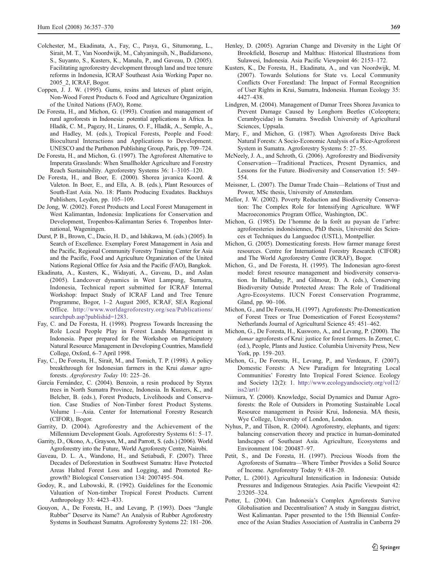- <span id="page-13-0"></span>Colchester, M., Ekadinata, A., Fay, C., Pasya, G., Situmorang, L., Sirait, M. T., Van Noordwijk, M., Cahyaningsih, N., Budidarsono, S., Suyanto, S., Kusters, K., Manalu, P., and Gaveau, D. (2005). Facilitating agroforestry development through land and tree tenure reforms in Indonesia, ICRAF Southeast Asia Working Paper no. 2005\_2, ICRAF, Bogor.
- Coppen, J. J. W. (1995). Gums, resins and latexes of plant origin, Non-Wood Forest Products 6. Food and Agriculture Organization of the United Nations (FAO), Rome.
- De Foresta, H., and Michon, G. (1993). Creation and management of rural agroforests in Indonesia: potential applications in Africa. In Hladik, C. M., Pagezy, H., Linares, O. F., Hladik, A., Semple, A., and Hadley, M. (eds.), Tropical Forests, People and Food: Biocultural Interactions and Applications to Development. UNESCO and the Parthenon Publishing Group, Paris, pp. 709–724.
- De Foresta, H., and Michon, G. (1997). The Agroforest Alternative to Imperata Grasslands: When Smallholder Agriculture and Forestry Reach Sustainability. Agroforestry Systems 36: 1–3105–120.
- De Foresta, H., and Boer, E. (2000). Shorea javanica Koord. & Valeton. In Boer, E., and Ella, A. B. (eds.), Plant Resources of South-East Asia. No. 18: Plants Producing Exudates. Backhuys Publishers, Leyden, pp. 105–109.
- De Jong, W. (2002). Forest Products and Local Forest Management in West Kalimantan, Indonesia: Implications for Conservation and Development, Tropenbos-Kalimantan Series 6. Tropenbos International, Wageningen.
- Durst, P. B., Brown, C., Dacio, H. D., and Ishikawa, M. (eds.) (2005). In Search of Excellence. Exemplary Forest Management in Asia and the Pacific, Regional Community Forestry Training Center for Asia and the Pacific, Food and Agriculture Organization of the United Nations Regional Office for Asia and the Pacific (FAO), Bangkok.
- Ekadinata, A., Kusters, K., Widayati, A., Gaveau, D., and Aslan (2005). Landcover dynamics in West Lampung, Sumatra, Indonesia, Technical report submitted for ICRAF Internal Workshop: Impact Study of ICRAF Land and Tree Tenure Programme, Bogor, 1–2 August 2005, ICRAF, SEA Regional Office. [http://www.worldagroforestry.org/sea/Publications/](http://www.worldagroforestry.org/sea/Publications/searchpub.asp?publishid=1283) [searchpub.asp?publishid=1283](http://www.worldagroforestry.org/sea/Publications/searchpub.asp?publishid=1283).
- Fay, C. and De Foresta, H. (1998). Progress Towards Increasing the Role Local People Play in Forest Lands Management in Indonesia. Paper prepared for the Workshop on Participatory Natural Resource Management in Developing Countries, Mansfield College, Oxford, 6–7 April 1998.
- Fay, C., De Foresta, H., Sirait, M., and Tomich, T. P. (1998). A policy breakthrough for Indonesian farmers in the Krui damar agroforests. Agroforestry Today 10: 225–26.
- García Fernández, C. (2004). Benzoin, a resin produced by Styrax trees in North Sumatra Province, Indonesia. In Kusters, K., and Belcher, B. (eds.), Forest Products, Livelihoods and Conservation. Case Studies of Non-Timber forest Product Systems. Volume 1—Asia. Center for International Forestry Research (CIFOR), Bogor.
- Garrity, D. (2004). Agroforestry and the Achievement of the Millennium Development Goals. Agroforestry Systems 61: 5–17.
- Garrity, D., Okono, A., Grayson, M., and Parrott, S. (eds.) (2006). World Agroforestry into the Future, World Agroforesty Centre, Nairobi.
- Gaveau, D. L. A., Wandono, H., and Setiabudi, F. (2007). Three Decades of Deforestation in Southwest Sumatra: Have Protected Areas Halted Forest Loss and Logging, and Promoted Regrowth? Biological Conservation 134: 2007495–504.
- Godoy, R., and Lubowski, R. (1992). Guidelines for the Economic Valuation of Non-timber Tropical Forest Products. Current Anthropology 33: 4423–433.
- Gouyon, A., De Foresta, H., and Levang, P. (1993). Does "Jungle Rubber" Deserve its Name? An Analysis of Rubber Agroforestry Systems in Southeast Sumatra. Agroforestry Systems 22: 181–206.
- Henley, D. (2005). Agrarian Change and Diversity in the Light Of Brookfield, Boserup and Malthus: Historical Illustrations from Sulawesi, Indonesia. Asia Pacific Viewpoint 46: 2153–172.
- Kusters, K., De Foresta, H., Ekadinata, A., and van Noordwijk, M. (2007). Towards Solutions for State vs. Local Community Conflicts Over Forestland: The Impact of Formal Recognition of User Rights in Krui, Sumatra, Indonesia. Human Ecology 35: 4427–438.
- Lindgren, M. (2004). Management of Damar Trees Shorea Javanica to Prevent Damage Caused by Longhorn Beetles (Coleoptera; Cerambycidae) in Sumatra. Swedish University of Agricultural Sciences, Uppsala.
- Mary, F., and Michon, G. (1987). When Agroforests Drive Back Natural Forests: A Socio-Economic Analysis of a Rice-Agroforest System in Sumatra. Agroforestry Systems 5: 27–55.
- McNeely, J. A., and Schroth, G. (2006). Agroforestry and Biodiversity Conservation—Traditional Practices, Present Dynamics, and Lessons for the Future. Biodiversity and Conservation 15: 549– 554.
- Meissner, L. (2007). The Damar Trade Chain—Relations of Trust and Power, MSc thesis, University of Amsterdam.
- Mellor, J. W. (2002). Poverty Reduction and Biodiversity Conservation: The Complex Role for Intensifying Agriculture. WWF Macroeconomics Program Office, Washington, DC.
- Michon, G. (1985). De l'homme de la forêt au paysan de l'arbre: agroforesteries indonésiennes, PhD thesis, Université des Sciences et Techniques du Languedoc (USTL), Montpellier.
- Michon, G. (2005). Domesticating forests. How farmer manage forest resources. Centre for International Forestry Research (CIFOR) and The World Agroforestry Centre (ICRAF), Bogor.
- Michon, G., and De Foresta, H. (1995). The Indonesian agro-forest model: forest resource management and biodiversity conservation. In Halladay, P., and Gilmour, D. A. (eds.), Conserving Biodiversity Outside Protected Areas: The Role of Traditional Agro-Ecosystems. IUCN Forest Conservation Programme, Gland, pp. 90–106.
- Michon, G., and De Foresta, H. (1997). Agroforests: Pre-Domestication of Forest Trees or True Domestication of Forest Ecosystems? Netherlands Journal of Agricultural Science 45: 451–462.
- Michon, G., De Foresta, H., Kusworo, A., and Levang, P. (2000). The damar agroforests of Krui: justice for forest farmers. In Zerner, C. (ed.), People, Plants and Justice. Columbia University Press, New York, pp. 159–203.
- Michon, G., De Foresta, H., Levang, P., and Verdeaux, F. (2007). Domestic Forests: A New Paradigm for Integrating Local Communities' Forestry Into Tropical Forest Science. Ecology and Society 12(2): 1. [http://www.ecologyandsociety.org/vol12/](http://www.ecologyandsociety.org/vol12/iss2/art1/) [iss2/art1/](http://www.ecologyandsociety.org/vol12/iss2/art1/)
- Niimura, Y. (2000). Knowledge, Social Dynamics and Damar Agroforests: the Role of Outsiders in Promoting Sustainable Local Resource management in Pesisir Krui, Indonesia. MA thesis, Wye College, University of London, London.
- Nyhus, P., and Tilson, R. (2004). Agroforestry, elephants, and tigers: balancing conservation theory and practice in human-dominated landscapes of Southeast Asia. Agriculture, Ecosystems and Environment 104: 200487–97.
- Petit, S., and De Foresta, H. (1997). Precious Woods from the Agroforests of Sumatra—Where Timber Provides a Solid Source of Income. Agroforestry Today 9: 418–20.
- Potter, L. (2001). Agricultural Intensification in Indonesia: Outside Pressures and Indigenous Strategies. Asia Pacific Viewpoint 42: 2/3205–324.
- Potter, L. (2004). Can Indonesia's Complex Agroforests Survive Globalisation and Decentralisation? A study in Sanggau district, West Kalimantan. Paper presented to the 15th Biennial Conference of the Asian Studies Association of Australia in Canberra 29